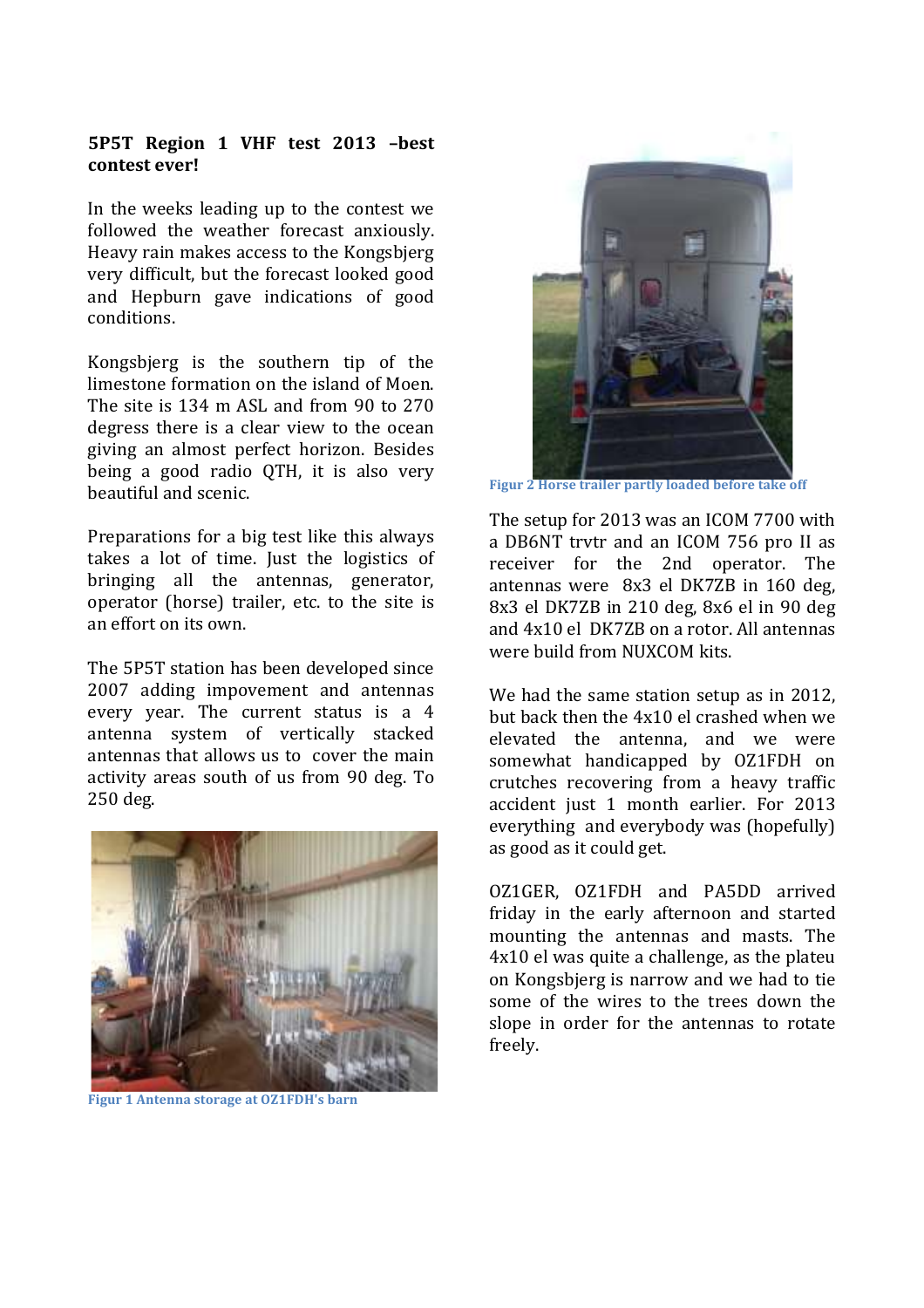## 5P5T Region 1 VHF test 2013 -best contest ever!

In the weeks leading up to the contest we followed the weather forecast anxiously. Heavy rain makes access to the Kongsbierg very difficult, but the forecast looked good and Hepburn gave indications of good conditions

Kongsbjerg is the southern tip of the limestone formation on the island of Moen. The site is 134 m ASL and from 90 to 270 degress there is a clear view to the ocean giving an almost perfect horizon. Besides being a good radio QTH, it is also very beautiful and scenic.

Preparations for a big test like this always takes a lot of time. Just the logistics of bringing all the antennas, generator, operator (horse) trailer, etc. to the site is an effort on its own

The 5P5T station has been developed since 2007 adding impovement and antennas every year. The current status is a 4 antenna system of vertically stacked antennas that allows us to cover the main activity areas south of us from 90 deg. To 250 deg.



**Figur 1 Antenna storage at OZ1FDH's barn** 



Figur 2 Horse trailer partly loaded before take off

The setup for 2013 was an ICOM 7700 with a DB6NT trytr and an ICOM 756 pro II as receiver for the 2nd operator. The antennas were 8x3 el DK7ZB in 160 deg. 8x3 el DK7ZB in 210 deg. 8x6 el in 90 deg and 4x10 el DK7ZB on a rotor. All antennas were build from NUXCOM kits.

We had the same station setup as in 2012, but back then the 4x10 el crashed when we elevated the antenna, and we were somewhat handicapped by OZ1FDH on crutches recovering from a heavy traffic accident just 1 month earlier. For 2013 everything and everybody was (hopefully) as good as it could get.

OZ1GER, OZ1FDH and PA5DD arrived friday in the early afternoon and started mounting the antennas and masts. The 4x10 el was quite a challenge, as the plateu on Kongsbjerg is narrow and we had to tie some of the wires to the trees down the slope in order for the antennas to rotate freely.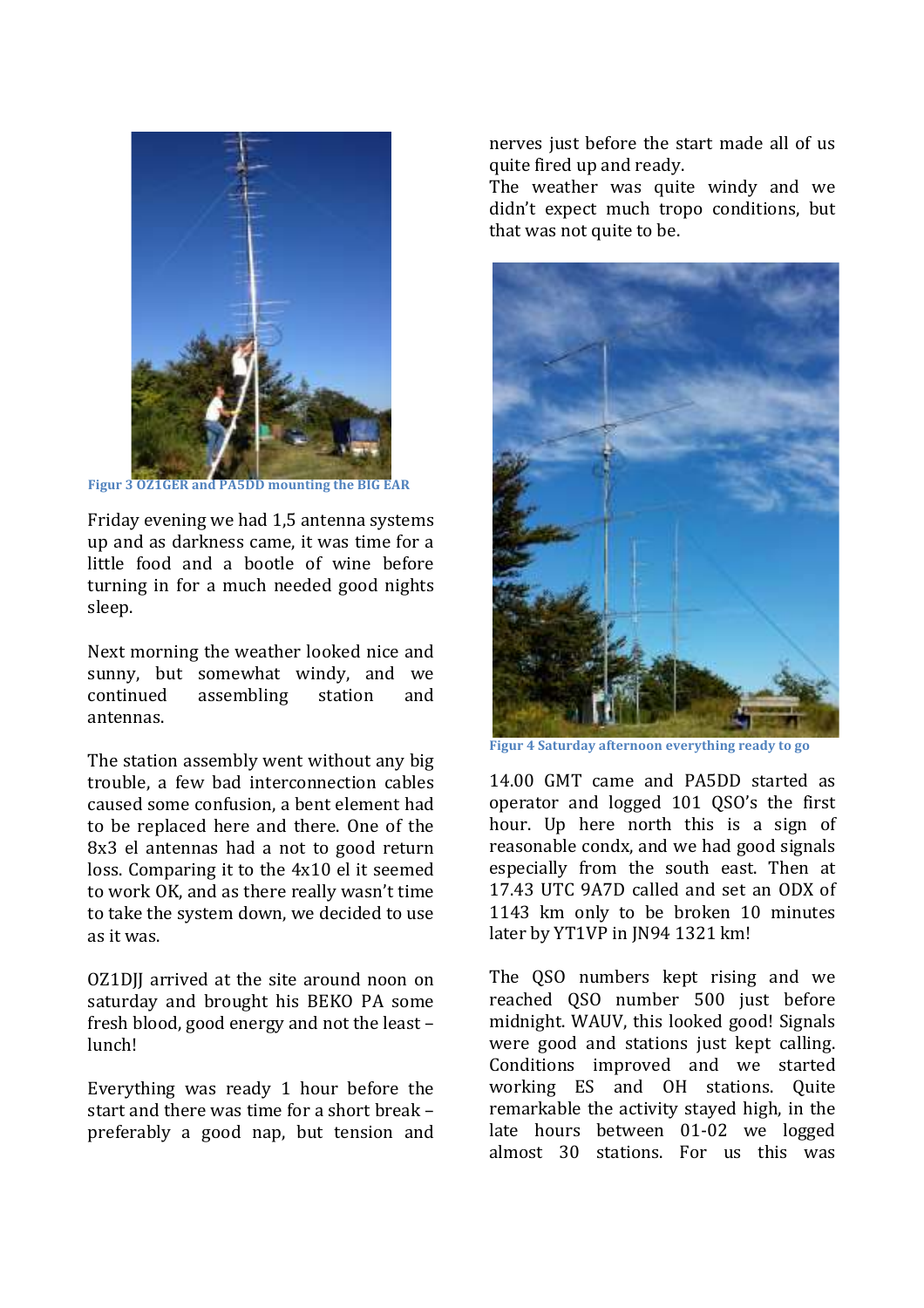

Figur 3 OZ1GER and PA5DD mounting the BIG EAR

Friday evening we had 1.5 antenna systems up and as darkness came, it was time for a little food and a bootle of wine before turning in for a much needed good nights sleep.

Next morning the weather looked nice and sunny, but somewhat windy, and we continued assembling station and antennas.

The station assembly went without any big trouble, a few bad interconnection cables caused some confusion, a bent element had to be replaced here and there. One of the 8x3 el antennas had a not to good return loss. Comparing it to the 4x10 el it seemed to work OK, and as there really wasn't time to take the system down, we decided to use as it was.

OZ1DII arrived at the site around noon on saturday and brought his BEKO PA some fresh blood, good energy and not the least lunch!

Everything was ready 1 hour before the start and there was time for a short break preferably a good nap, but tension and nerves just before the start made all of us quite fired up and ready.

The weather was quite windy and we didn't expect much tropo conditions, but that was not quite to be.



Figur 4 Saturday afternoon everything ready to go

14.00 GMT came and PA5DD started as operator and logged 101 QSO's the first hour. Up here north this is a sign of reasonable condx, and we had good signals especially from the south east. Then at 17.43 UTC 9A7D called and set an ODX of 1143 km only to be broken 10 minutes later by YT1VP in JN94 1321 km!

The OSO numbers kept rising and we reached OSO number 500 just before midnight. WAUV, this looked good! Signals were good and stations just kept calling. Conditions improved and we started working ES and OH stations. Ouite remarkable the activity stayed high, in the late hours between 01-02 we logged almost 30 stations. For us this was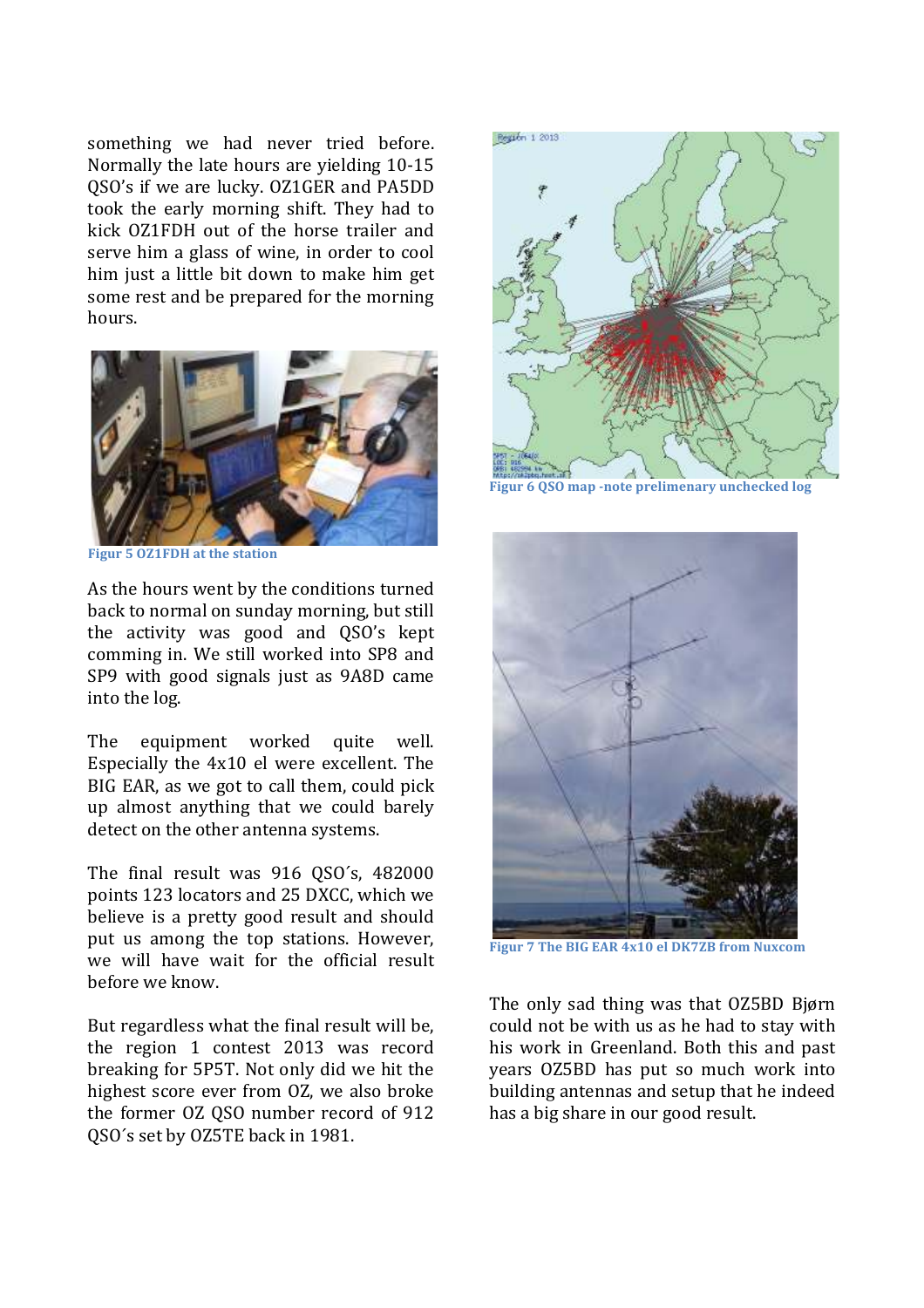something we had never tried before. Normally the late hours are vielding 10-15 QSO's if we are lucky. OZ1GER and PA5DD took the early morning shift. They had to kick OZ1FDH out of the horse trailer and serve him a glass of wine, in order to cool him just a little bit down to make him get some rest and be prepared for the morning hours



**Figur 5 OZ1FDH at the station** 

As the hours went by the conditions turned back to normal on sunday morning, but still the activity was good and QSO's kept comming in. We still worked into SP8 and SP9 with good signals just as 9A8D came into the log.

The equipment worked quite well. Especially the 4x10 el were excellent. The BIG EAR, as we got to call them, could pick up almost anything that we could barely detect on the other antenna systems.

The final result was 916 QSO's, 482000 points 123 locators and 25 DXCC, which we believe is a pretty good result and should put us among the top stations. However, we will have wait for the official result before we know.

But regardless what the final result will be, the region 1 contest 2013 was record breaking for 5P5T. Not only did we hit the highest score ever from OZ, we also broke the former OZ OSO number record of 912 OSO's set by OZ5TE back in 1981.



Figur 6 0S0 map -note prelimenary unchecked log



Figur 7 The BIG EAR 4x10 el DK7ZB from Nuxcom

The only sad thing was that OZ5BD Bjørn could not be with us as he had to stay with his work in Greenland. Both this and past years OZ5BD has put so much work into building antennas and setup that he indeed has a big share in our good result.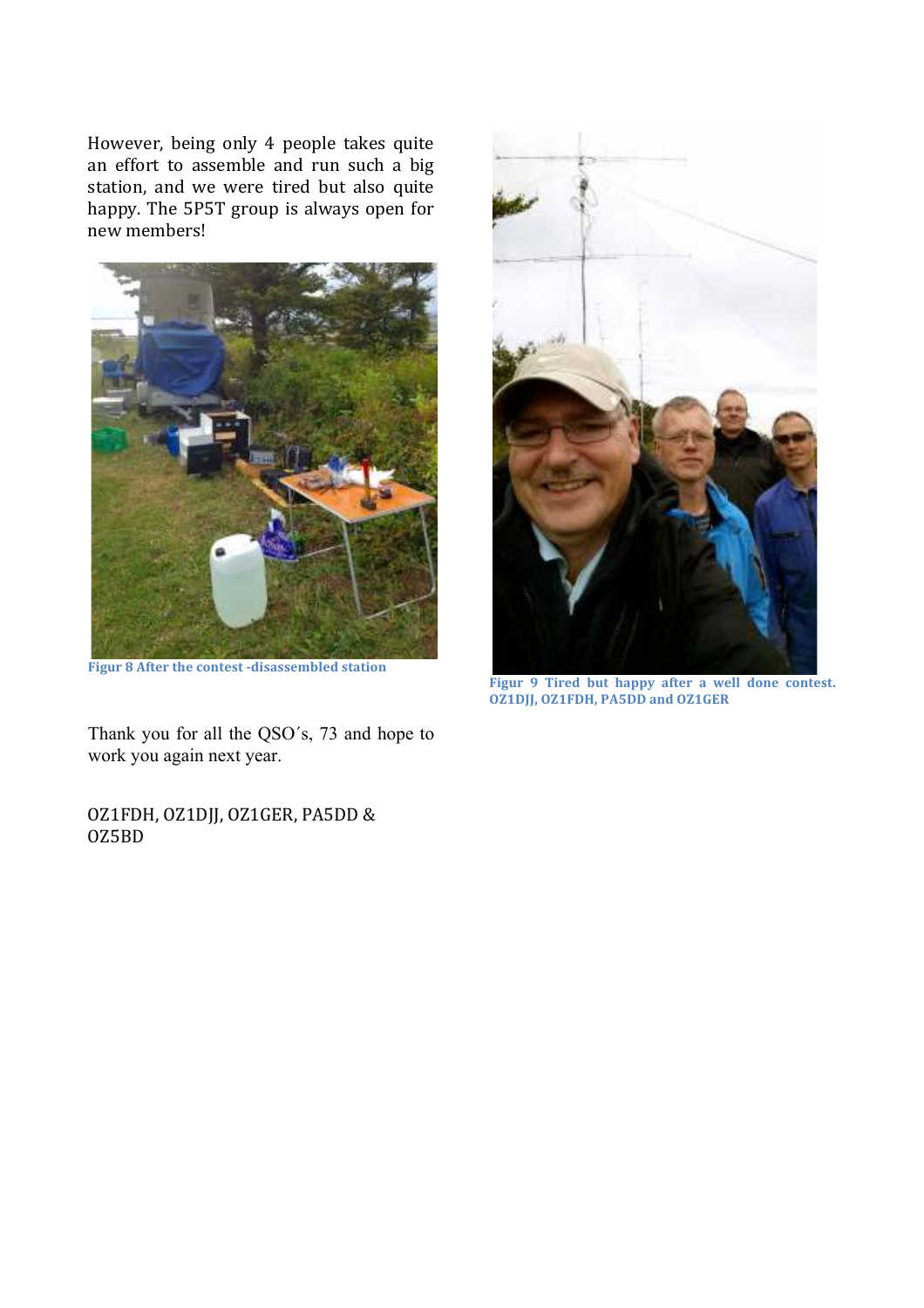However, being only 4 people takes quite an effort to assemble and run such a big station, and we were tired but also quite happy. The 5P5T group is always open for new members!



Figur 8 After the contest -disassembled station

Thank you for all the QSO's, 73 and hope to work you again next year.

OZ1FDH, OZ1DJJ, OZ1GER, PA5DD & OZ5BD



Figur 9 Tired but happy after a well done contest. **OZ1DJJ, OZ1FDH, PA5DD and OZ1GER**